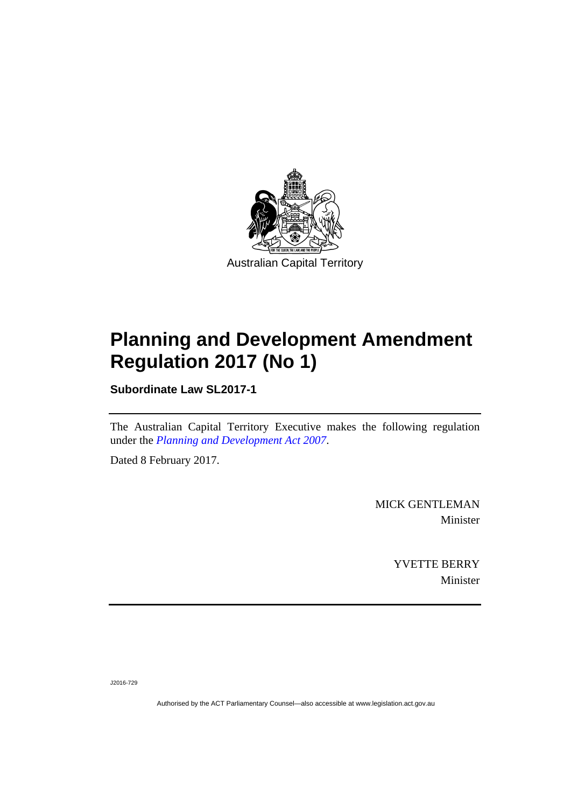

## **Planning and Development Amendment Regulation 2017 (No 1)**

**Subordinate Law SL2017-1** 

The Australian Capital Territory Executive makes the following regulation under the *[Planning and Development Act 2007](http://www.legislation.act.gov.au/a/2007-24)*.

Dated 8 February 2017.

MICK GENTLEMAN Minister

> YVETTE BERRY Minister

J2016-729

Authorised by the ACT Parliamentary Counsel—also accessible at www.legislation.act.gov.au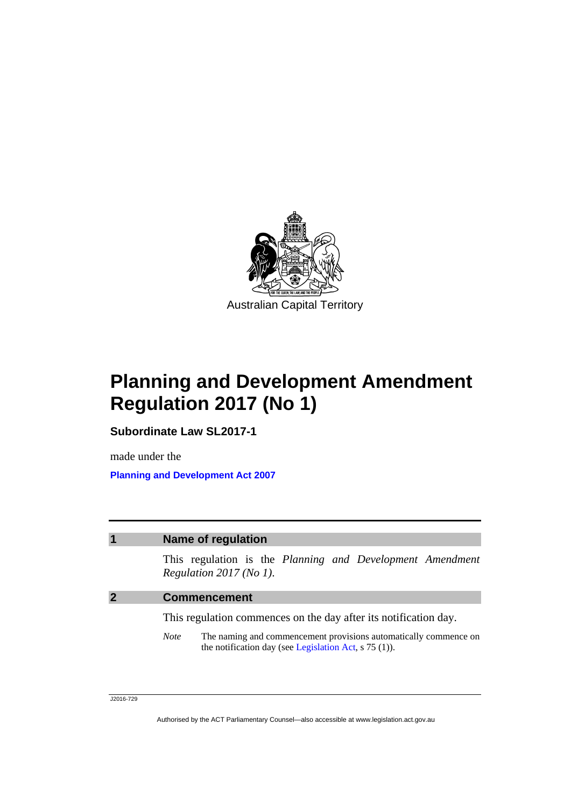

**Planning and Development Amendment Regulation 2017 (No 1)** 

**Subordinate Law SL2017-1** 

made under the **[Planning and Development Act 2007](http://www.legislation.act.gov.au/a/2007-24)**

## **1 Name of regulation**

This regulation is the *Planning and Development Amendment Regulation 2017 (No 1)*.

## **2 Commencement**

This regulation commences on the day after its notification day.

*Note* The naming and commencement provisions automatically commence on the notification day (see [Legislation Act,](http://www.legislation.act.gov.au/a/2001-14) s 75 (1)).

J2016-729

Authorised by the ACT Parliamentary Counsel—also accessible at www.legislation.act.gov.au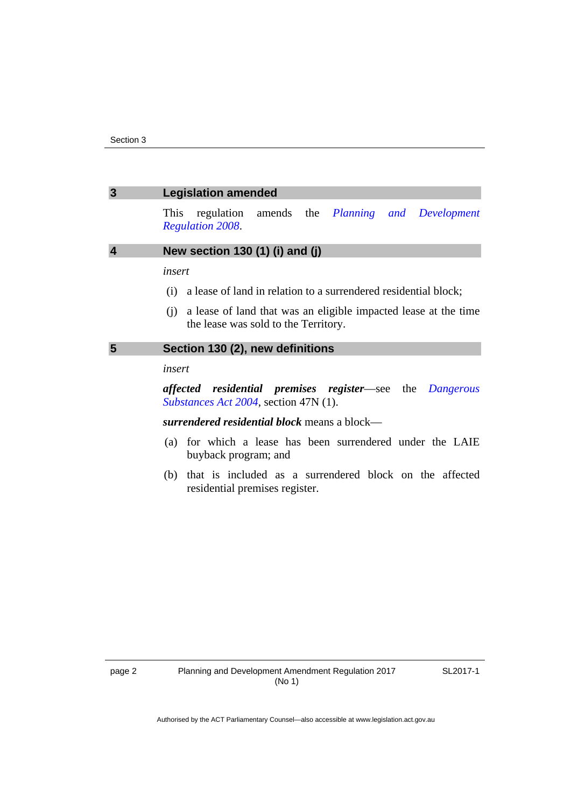| $\overline{3}$          | <b>Legislation amended</b>                                                                                                                                                                   |
|-------------------------|----------------------------------------------------------------------------------------------------------------------------------------------------------------------------------------------|
|                         | regulation amends the <i>Planning and Development</i><br>This<br><b>Regulation 2008.</b>                                                                                                     |
| $\overline{\mathbf{4}}$ | New section 130 (1) (i) and (j)                                                                                                                                                              |
|                         | insert<br>(i) a lease of land in relation to a surrendered residential block;<br>(i) a lease of land that was an eligible impacted lease at the time<br>the lease was sold to the Territory. |
| 5                       | Section 130 (2), new definitions                                                                                                                                                             |
|                         | insert                                                                                                                                                                                       |
|                         | affected residential premises register-see the Dangerous<br><i>Substances Act 2004</i> , section 47N (1).                                                                                    |
|                         | surrendered residential block means a block—                                                                                                                                                 |
|                         | (a) for which a lease has been surrendered under the LAIE<br>buyback program; and                                                                                                            |
|                         | (b) that is included as a surrendered block on the affected<br>residential premises register.                                                                                                |

SL2017-1